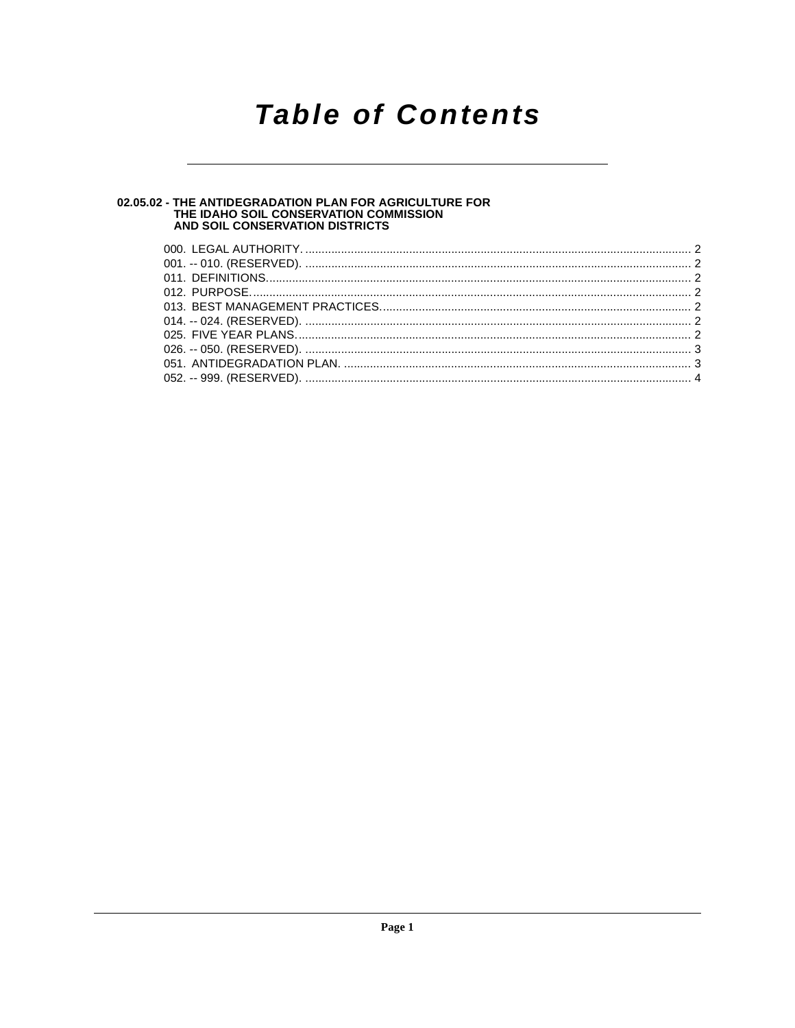### **Table of Contents**

# 02.05.02 - THE ANTIDEGRADATION PLAN FOR AGRICULTURE FOR<br>THE IDAHO SOIL CONSERVATION COMMISSION<br>AND SOIL CONSERVATION DISTRICTS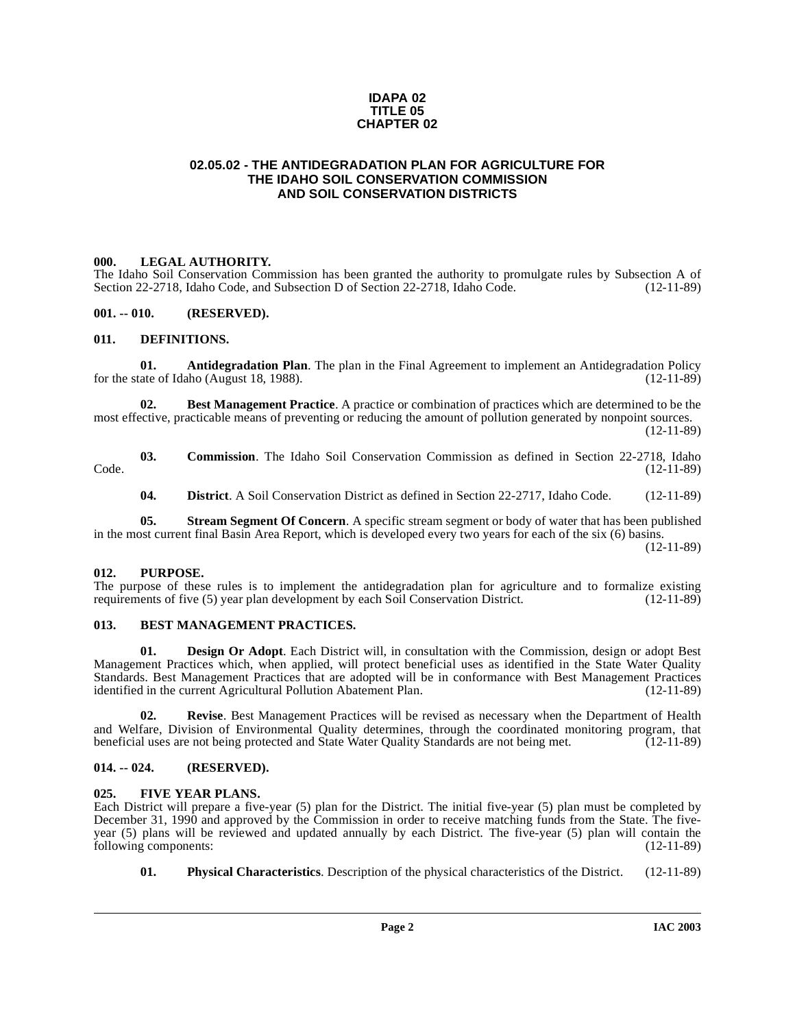#### **IDAPA 02 TITLE 05 CHAPTER 02**

#### <span id="page-1-0"></span>**02.05.02 - THE ANTIDEGRADATION PLAN FOR AGRICULTURE FOR THE IDAHO SOIL CONSERVATION COMMISSION AND SOIL CONSERVATION DISTRICTS**

#### <span id="page-1-1"></span>**000. LEGAL AUTHORITY.**

The Idaho Soil Conservation Commission has been granted the authority to promulgate rules by Subsection A of Section 22-2718. Idaho Code, and Subsection D of Section 22-2718. Idaho Code, (12-11-89) Section 22-2718, Idaho Code, and Subsection D of Section 22-2718, Idaho Code.

#### <span id="page-1-2"></span>**001. -- 010. (RESERVED).**

#### <span id="page-1-10"></span><span id="page-1-3"></span>**011. DEFINITIONS.**

<span id="page-1-8"></span>**01. Antidegradation Plan**. The plan in the Final Agreement to implement an Antidegradation Policy ate of Idaho (August 18, 1988). for the state of Idaho (August 18, 1988).

**02. Best Management Practice**. A practice or combination of practices which are determined to be the most effective, practicable means of preventing or reducing the amount of pollution generated by nonpoint sources.

(12-11-89)

**03. Commission**. The Idaho Soil Conservation Commission as defined in Section 22-2718, Idaho (12-11-89) Code. (12-11-89)

<span id="page-1-13"></span>**04. District**. A Soil Conservation District as defined in Section 22-2717, Idaho Code. (12-11-89)

**05.** Stream Segment Of Concern. A specific stream segment or body of water that has been published in the most current final Basin Area Report, which is developed every two years for each of the six (6) basins. (12-11-89)

#### <span id="page-1-4"></span>**012. PURPOSE.**

The purpose of these rules is to implement the antidegradation plan for agriculture and to formalize existing requirements of five (5) year plan development by each Soil Conservation District. (12-11-89) requirements of five (5) year plan development by each Soil Conservation District.

#### <span id="page-1-9"></span><span id="page-1-5"></span>**013. BEST MANAGEMENT PRACTICES.**

**Design Or Adopt**. Each District will, in consultation with the Commission, design or adopt Best Management Practices which, when applied, will protect beneficial uses as identified in the State Water Quality Standards. Best Management Practices that are adopted will be in conformance with Best Management Practices identified in the current Agricultural Pollution Abatement Plan. (12-11-89) identified in the current Agricultural Pollution Abatement Plan.

**02. Revise**. Best Management Practices will be revised as necessary when the Department of Health and Welfare, Division of Environmental Quality determines, through the coordinated monitoring program, that beneficial uses are not being protected and State Water Ouality Standards are not being met. (12-11-89) beneficial uses are not being protected and State Water Quality Standards are not being met.

#### <span id="page-1-6"></span>**014. -- 024. (RESERVED).**

#### <span id="page-1-11"></span><span id="page-1-7"></span>**025. FIVE YEAR PLANS.**

Each District will prepare a five-year (5) plan for the District. The initial five-year (5) plan must be completed by December 31, 1990 and approved by the Commission in order to receive matching funds from the State. The fiveyear (5) plans will be reviewed and updated annually by each District. The five-year (5) plan will contain the following components: (12-11-89)

<span id="page-1-12"></span>**01. Physical Characteristics**. Description of the physical characteristics of the District. (12-11-89)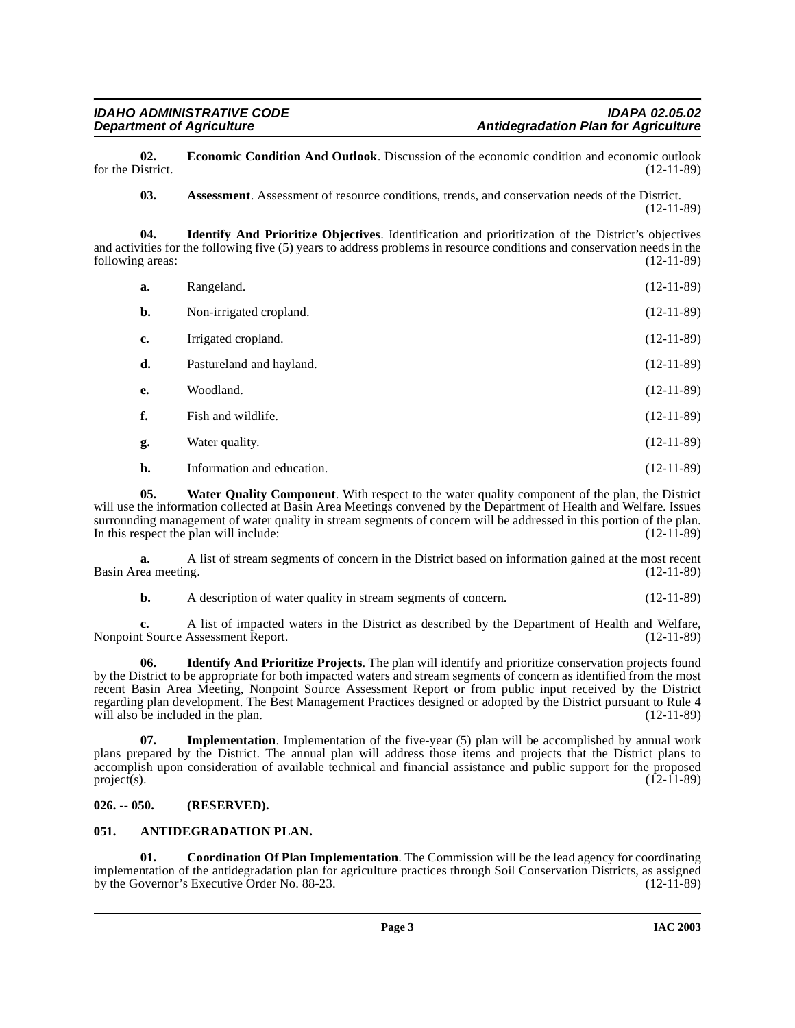**02. Economic Condition And Outlook**. Discussion of the economic condition and economic outlook istrict. (12-11-89) for the District.

<span id="page-2-6"></span><span id="page-2-5"></span><span id="page-2-3"></span>**03.** Assessment. Assessment of resource conditions, trends, and conservation needs of the District. (12-11-89)

**04. Identify And Prioritize Objectives**. Identification and prioritization of the District's objectives and activities for the following five (5) years to address problems in resource conditions and conservation needs in the following areas: (12-11-89)

| a.             | Rangeland.                 | $(12-11-89)$ |
|----------------|----------------------------|--------------|
| $\mathbf{b}$ . | Non-irrigated cropland.    | $(12-11-89)$ |
| c.             | Irrigated cropland.        | $(12-11-89)$ |
| d.             | Pastureland and hayland.   | $(12-11-89)$ |
| e.             | Woodland.                  | $(12-11-89)$ |
| f.             | Fish and wildlife.         | $(12-11-89)$ |
| g.             | Water quality.             | $(12-11-89)$ |
| h.             | Information and education. | $(12-11-89)$ |

<span id="page-2-9"></span>**05. Water Quality Component**. With respect to the water quality component of the plan, the District will use the information collected at Basin Area Meetings convened by the Department of Health and Welfare. Issues surrounding management of water quality in stream segments of concern will be addressed in this portion of the plan.<br>In this respect the plan will include: (12-11-89) In this respect the plan will include:

**a.** A list of stream segments of concern in the District based on information gained at the most recent rea meeting. (12-11-89) Basin Area meeting.

<span id="page-2-7"></span>**b.** A description of water quality in stream segments of concern. (12-11-89)

**c.** A list of impacted waters in the District as described by the Department of Health and Welfare, t Source Assessment Report. (12-11-89) Nonpoint Source Assessment Report.

**06. Identify And Prioritize Projects**. The plan will identify and prioritize conservation projects found by the District to be appropriate for both impacted waters and stream segments of concern as identified from the most recent Basin Area Meeting, Nonpoint Source Assessment Report or from public input received by the District regarding plan development. The Best Management Practices designed or adopted by the District pursuant to Rule 4 will also be included in the plan. (12-11-89)

<span id="page-2-8"></span>**07. Implementation**. Implementation of the five-year (5) plan will be accomplished by annual work plans prepared by the District. The annual plan will address those items and projects that the District plans to accomplish upon consideration of available technical and financial assistance and public support for the proposed project(s). (12-11-89)  $\text{project}(s).$  (12-11-89)

#### <span id="page-2-0"></span>**026. -- 050. (RESERVED).**

#### <span id="page-2-2"></span><span id="page-2-1"></span>**051. ANTIDEGRADATION PLAN.**

<span id="page-2-4"></span>**01. Coordination Of Plan Implementation**. The Commission will be the lead agency for coordinating implementation of the antidegradation plan for agriculture practices through Soil Conservation Districts, as assigned<br>by the Governor's Executive Order No. 88-23. by the Governor's Executive Order No. 88-23.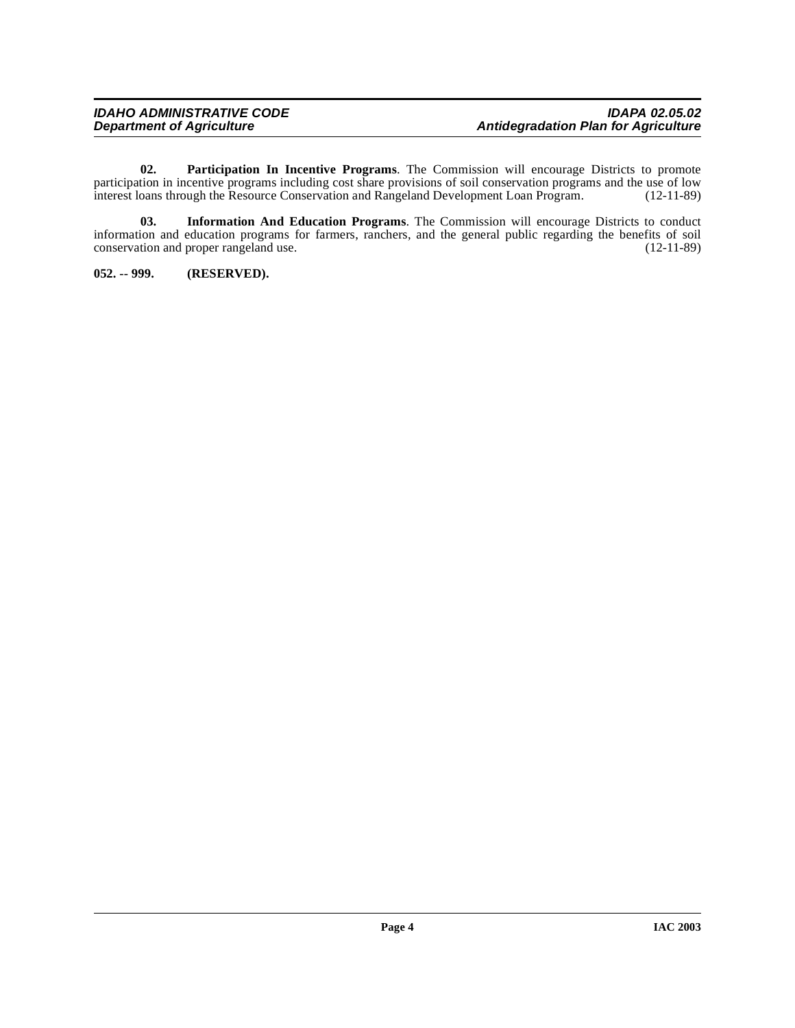<span id="page-3-2"></span>**02. Participation In Incentive Programs**. The Commission will encourage Districts to promote participation in incentive programs including cost share provisions of soil conservation programs and the use of low interest loans through the Resource Conservation and Rangeland Development Loan Program. (12-11-89)

<span id="page-3-1"></span>**03. Information And Education Programs**. The Commission will encourage Districts to conduct information and education programs for farmers, ranchers, and the general public regarding the benefits of soil conservation and proper rangeland use. (12-11-89) conservation and proper rangeland use.

<span id="page-3-0"></span>**052. -- 999. (RESERVED).**